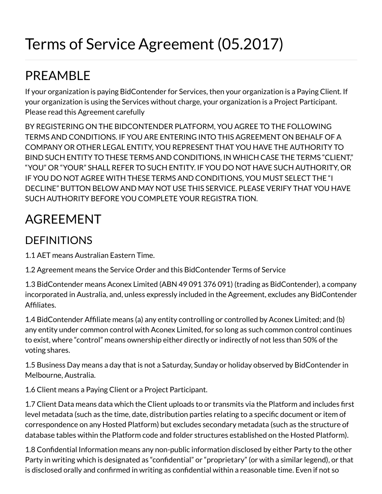# Terms of Service Agreement (05.2017)

# PREAMBLE

If your organization is paying BidContender for Services, then your organization is a Paying Client. If your organization is using the Services without charge, your organization is a Project Participant. Please read this Agreement carefully

BY REGISTERING ON THE BIDCONTENDER PLATFORM, YOU AGREE TO THE FOLLOWING TERMS AND CONDITIONS. IF YOU ARE ENTERING INTO THIS AGREEMENT ON BEHALF OF A COMPANY OR OTHER LEGAL ENTITY, YOU REPRESENT THAT YOU HAVE THE AUTHORITY TO BIND SUCH ENTITY TO THESE TERMS AND CONDITIONS, IN WHICH CASE THE TERMS "CLIENT," "YOU" OR "YOUR" SHALL REFER TO SUCH ENTITY. IF YOU DO NOT HAVE SUCH AUTHORITY, OR IF YOU DO NOT AGREE WITH THESE TERMS AND CONDITIONS, YOU MUST SELECT THE "I DECLINE" BUTTON BELOW AND MAY NOT USE THIS SERVICE. PLEASE VERIFY THAT YOU HAVE SUCH AUTHORITY BEFORE YOU COMPLETE YOUR REGISTRA TION.

# AGREEMENT

#### DEFINITIONS

1.1 AET means Australian Eastern Time.

1.2 Agreement means the Service Order and this BidContender Terms of Service

1.3 BidContender means Aconex Limited (ABN 49 091 376 091) (trading as BidContender), a company incorporated in Australia, and, unless expressly included in the Agreement, excludes any BidContender Affiliates.

 1.4 BidContender Afliate means (a) any entity controlling or controlled by Aconex Limited; and (b) any entity under common control with Aconex Limited, for so long as such common control continues to exist, where "control" means ownership either directly or indirectly of not less than 50% of the voting shares.

1.5 Business Day means a day that is not a Saturday, Sunday or holiday observed by BidContender in Melbourne, Australia.

1.6 Client means a Paying Client or a Project Participant.

1.7 Client Data means data which the Client uploads to or transmits via the Platform and includes first level metadata (such as the time, date, distribution parties relating to a specific document or item of correspondence on any Hosted Platform) but excludes secondary metadata (such as the structure of database tables within the Platform code and folder structures established on the Hosted Platform).

1.8 Condential Information means any non-public information disclosed by either Party to the other Party in writing which is designated as "confidential" or "proprietary" (or with a similar legend), or that is disclosed orally and confirmed in writing as confidential within a reasonable time. Even if not so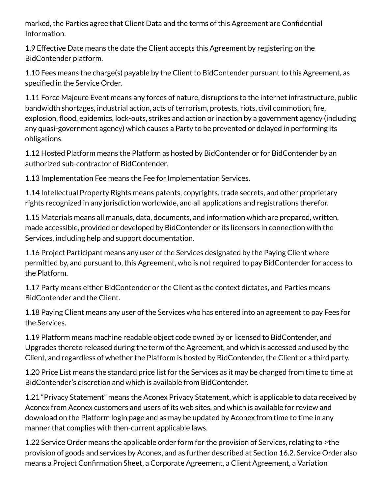marked, the Parties agree that Client Data and the terms of this Agreement are Confidential Information.

1.9 Effective Date means the date the Client accepts this Agreement by registering on the BidContender platform.

1.10 Fees means the charge(s) payable by the Client to BidContender pursuant to this Agreement, as specified in the Service Order.

1.11 Force Majeure Event means any forces of nature, disruptions to the internet infrastructure, public bandwidth shortages, industrial action, acts of terrorism, protests, riots, civil commotion, fire, explosion, flood, epidemics, lock-outs, strikes and action or inaction by a government agency (including any quasi-government agency) which causes a Party to be prevented or delayed in performing its obligations.

1.12 Hosted Platform means the Platform as hosted by BidContender or for BidContender by an authorized sub-contractor of BidContender.

1.13 Implementation Fee means the Fee for Implementation Services.

1.14 Intellectual Property Rights means patents, copyrights, trade secrets, and other proprietary rights recognized in any jurisdiction worldwide, and all applications and registrations therefor.

1.15 Materials means all manuals, data, documents, and information which are prepared, written, made accessible, provided or developed by BidContender or its licensors in connection with the Services, including help and support documentation.

1.16 Project Participant means any user of the Services designated by the Paying Client where permitted by, and pursuant to, this Agreement, who is not required to pay BidContender for access to the Platform.

1.17 Party means either BidContender or the Client as the context dictates, and Parties means BidContender and the Client.

1.18 Paying Client means any user of the Services who has entered into an agreement to pay Fees for the Services.

 1.19 Platform means machine readable object code owned by or licensed to BidContender, and Upgrades thereto released during the term of the Agreement, and which is accessed and used by the Client, and regardless of whether the Platform is hosted by BidContender, the Client or a third party.

1.20 Price List means the standard price list for the Services as it may be changed from time to time at BidContender's discretion and which is available from BidContender.

 1.21 "Privacy Statement" means the Aconex Privacy Statement, which is applicable to data received by Aconex from Aconex customers and users of its web sites, and which is available for review and download on the Platform login page and as may be updated by Aconex from time to time in any manner that complies with then-current applicable laws.

1.22 Service Order means the applicable order form for the provision of Services, relating to >the provision of goods and services by Aconex, and as further described at Section 16.2. Service Order also means a Project Conrmation Sheet, a Corporate Agreement, a Client Agreement, a Variation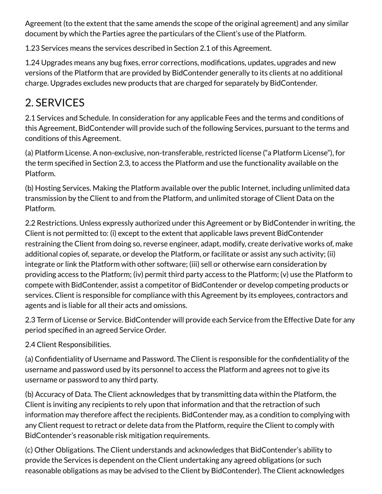Agreement (to the extent that the same amends the scope of the original agreement) and any similar document by which the Parties agree the particulars of the Client's use of the Platform.

1.23 Services means the services described in Section 2.1 of this Agreement.

1.24 Upgrades means any bug fixes, error corrections, modifications, updates, upgrades and new versions of the Platform that are provided by BidContender generally to its clients at no additional charge. Upgrades excludes new products that are charged for separately by BidContender.

### 2. SERVICES

2.1 Services and Schedule. In consideration for any applicable Fees and the terms and conditions of this Agreement, BidContender will provide such of the following Services, pursuant to the terms and conditions of this Agreement.

(a) Platform License. A non-exclusive, non-transferable, restricted license ("a Platform License"), for the term specified in Section 2.3, to access the Platform and use the functionality available on the Platform.

(b) Hosting Services. Making the Platform available over the public Internet, including unlimited data transmission by the Client to and from the Platform, and unlimited storage of Client Data on the Platform.

2.2 Restrictions. Unless expressly authorized under this Agreement or by BidContender in writing, the Client is not permitted to: (i) except to the extent that applicable laws prevent BidContender restraining the Client from doing so, reverse engineer, adapt, modify, create derivative works of, make additional copies of, separate, or develop the Platform, or facilitate or assist any such activity; (ii) integrate or link the Platform with other software; (iii) sell or otherwise earn consideration by providing access to the Platform; (iv) permit third party access to the Platform; (v) use the Platform to compete with BidContender, assist a competitor of BidContender or develop competing products or services. Client is responsible for compliance with this Agreement by its employees, contractors and agents and is liable for all their acts and omissions.

2.3 Term of License or Service. BidContender will provide each Service from the Effective Date for any period specified in an agreed Service Order.

2.4 Client Responsibilities.

(a) Confidentiality of Username and Password. The Client is responsible for the confidentiality of the username and password used by its personnel to access the Platform and agrees not to give its username or password to any third party.

(b) Accuracy of Data. The Client acknowledges that by transmitting data within the Platform, the Client is inviting any recipients to rely upon that information and that the retraction of such information may therefore affect the recipients. BidContender may, as a condition to complying with any Client request to retract or delete data from the Platform, require the Client to comply with BidContender's reasonable risk mitigation requirements.

(c) Other Obligations. The Client understands and acknowledges that BidContender's ability to provide the Services is dependent on the Client undertaking any agreed obligations (or such reasonable obligations as may be advised to the Client by BidContender). The Client acknowledges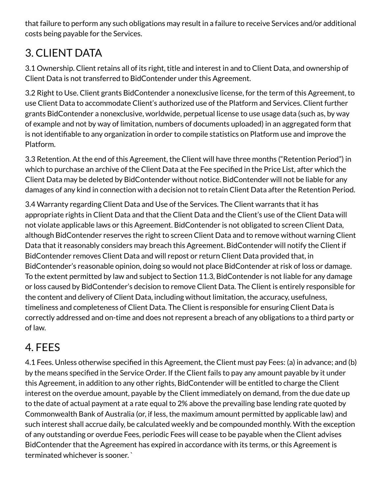that failure to perform any such obligations may result in a failure to receive Services and/or additional costs being payable for the Services.

#### 3. CLIENT DATA

3.1 Ownership. Client retains all of its right, title and interest in and to Client Data, and ownership of Client Data is not transferred to BidContender under this Agreement.

3.2 Right to Use. Client grants BidContender a nonexclusive license, for the term of this Agreement, to use Client Data to accommodate Client's authorized use of the Platform and Services. Client further grants BidContender a nonexclusive, worldwide, perpetual license to use usage data (such as, by way of example and not by way of limitation, numbers of documents uploaded) in an aggregated form that is not identifiable to any organization in order to compile statistics on Platform use and improve the Platform.

 3.3 Retention. At the end of this Agreement, the Client will have three months ("Retention Period") in which to purchase an archive of the Client Data at the Fee specified in the Price List, after which the Client Data may be deleted by BidContender without notice. BidContender will not be liable for any damages of any kind in connection with a decision not to retain Client Data after the Retention Period.

 3.4 Warranty regarding Client Data and Use of the Services. The Client warrants that it has appropriate rights in Client Data and that the Client Data and the Client's use of the Client Data will not violate applicable laws or this Agreement. BidContender is not obligated to screen Client Data, although BidContender reserves the right to screen Client Data and to remove without warning Client Data that it reasonably considers may breach this Agreement. BidContender will notify the Client if BidContender removes Client Data and will repost or return Client Data provided that, in BidContender's reasonable opinion, doing so would not place BidContender at risk of loss or damage. To the extent permitted by law and subject to Section 11.3, BidContender is not liable for any damage or loss caused by BidContender's decision to remove Client Data. The Client is entirely responsible for the content and delivery of Client Data, including without limitation, the accuracy, usefulness, timeliness and completeness of Client Data. The Client is responsible for ensuring Client Data is correctly addressed and on-time and does not represent a breach of any obligations to a third party or of law.

#### 4. FEES

 4.1 Fees. Unless otherwise specified in this Agreement, the Client must pay Fees: (a) in advance; and (b) by the means specified in the Service Order. If the Client fails to pay any amount payable by it under this Agreement, in addition to any other rights, BidContender will be entitled to charge the Client interest on the overdue amount, payable by the Client immediately on demand, from the due date up to the date of actual payment at a rate equal to 2% above the prevailing base lending rate quoted by Commonwealth Bank of Australia (or, if less, the maximum amount permitted by applicable law) and such interest shall accrue daily, be calculated weekly and be compounded monthly. With the exception of any outstanding or overdue Fees, periodic Fees will cease to be payable when the Client advises BidContender that the Agreement has expired in accordance with its terms, or this Agreement is terminated whichever is sooner. `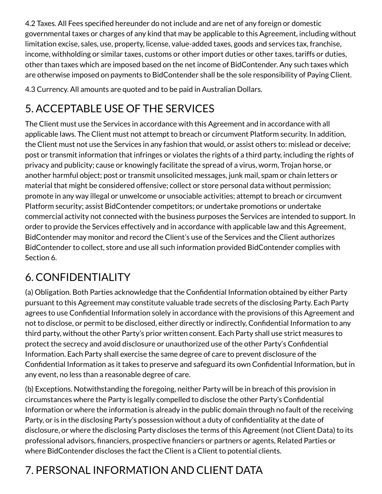4.2 Taxes. All Fees specified hereunder do not include and are net of any foreign or domestic governmental taxes or charges of any kind that may be applicable to this Agreement, including without limitation excise, sales, use, property, license, value-added taxes, goods and services tax, franchise, income, withholding or similar taxes, customs or other import duties or other taxes, tariffs or duties, other than taxes which are imposed based on the net income of BidContender. Any such taxes which are otherwise imposed on payments to BidContender shall be the sole responsibility of Paying Client.

4.3 Currency. All amounts are quoted and to be paid in Australian Dollars.

### 5. ACCEPTABLE USE OF THE SERVICES

The Client must use the Services in accordance with this Agreement and in accordance with all applicable laws. The Client must not attempt to breach or circumvent Platform security. In addition, the Client must not use the Services in any fashion that would, or assist others to: mislead or deceive; post or transmit information that infringes or violates the rights of a third party, including the rights of privacy and publicity; cause or knowingly facilitate the spread of a virus, worm, Trojan horse, or another harmful object; post or transmit unsolicited messages, junk mail, spam or chain letters or material that might be considered offensive; collect or store personal data without permission; promote in any way illegal or unwelcome or unsociable activities; attempt to breach or circumvent Platform security; assist BidContender competitors; or undertake promotions or undertake commercial activity not connected with the business purposes the Services are intended to support. In order to provide the Services effectively and in accordance with applicable law and this Agreement, BidContender may monitor and record the Client's use of the Services and the Client authorizes BidContender to collect, store and use all such information provided BidContender complies with Section 6.

### 6. CONFIDENTIALITY

 (a) Obligation. Both Parties acknowledge that the Confidential Information obtained by either Party pursuant to this Agreement may constitute valuable trade secrets of the disclosing Party. Each Party agrees to use Confidential Information solely in accordance with the provisions of this Agreement and not to disclose, or permit to be disclosed, either directly or indirectly, Confidential Information to any third party, without the other Party's prior written consent. Each Party shall use strict measures to protect the secrecy and avoid disclosure or unauthorized use of the other Party's Condential Information. Each Party shall exercise the same degree of care to prevent disclosure of the Confidential Information as it takes to preserve and safeguard its own Confidential Information, but in any event, no less than a reasonable degree of care.

(b) Exceptions. Notwithstanding the foregoing, neither Party will be in breach of this provision in circumstances where the Party is legally compelled to disclose the other Party's Confidential Information or where the information is already in the public domain through no fault of the receiving Party, or is in the disclosing Party's possession without a duty of confidentiality at the date of disclosure, or where the disclosing Party discloses the terms of this Agreement (not Client Data) to its professional advisors, financiers, prospective financiers or partners or agents, Related Parties or where BidContender discloses the fact the Client is a Client to potential clients.

## 7. PERSONAL INFORMATION AND CLIENT DATA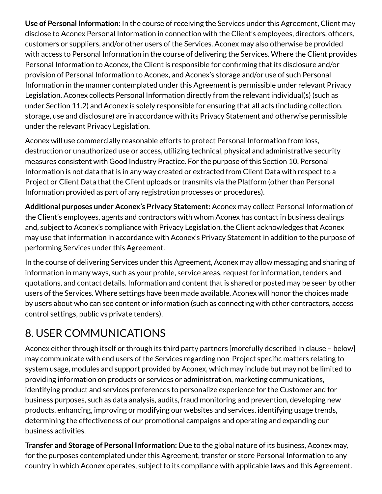**Use of Personal Information:** In the course of receiving the Services under this Agreement, Client may disclose to Aconex Personal Information in connection with the Client's employees, directors, officers, customers or suppliers, and/or other users of the Services. Aconex may also otherwise be provided with access to Personal Information in the course of delivering the Services. Where the Client provides Personal Information to Aconex, the Client is responsible for confirming that its disclosure and/or provision of Personal Information to Aconex, and Aconex's storage and/or use of such Personal Information in the manner contemplated under this Agreement is permissible under relevant Privacy Legislation. Aconex collects Personal Information directly from the relevant individual(s) (such as under Section 11.2) and Aconex is solely responsible for ensuring that all acts (including collection, storage, use and disclosure) are in accordance with its Privacy Statement and otherwise permissible under the relevant Privacy Legislation.

Aconex will use commercially reasonable efforts to protect Personal Information from loss, destruction or unauthorized use or access, utilizing technical, physical and administrative security measures consistent with Good Industry Practice. For the purpose of this Section 10, Personal Information is not data that is in any way created or extracted from Client Data with respect to a Project or Client Data that the Client uploads or transmits via the Platform (other than Personal Information provided as part of any registration processes or procedures).

**Additional purposes under Aconex's Privacy Statement:** Aconex may collect Personal Information of the Client's employees, agents and contractors with whom Aconex has contact in business dealings and, subject to Aconex's compliance with Privacy Legislation, the Client acknowledges that Aconex may use that information in accordance with Aconex's Privacy Statement in addition to the purpose of performing Services under this Agreement.

 In the course of delivering Services under this Agreement, Aconex may allow messaging and sharing of information in many ways, such as your profile, service areas, request for information, tenders and quotations, and contact details. Information and content that is shared or posted may be seen by other users of the Services. Where settings have been made available, Aconex will honor the choices made by users about who can see content or information (such as connecting with other contractors, access control settings, public vs private tenders).

### 8. USER COMMUNICATIONS

 Aconex either through itself or through its third party partners [morefully described in clause – below] may communicate with end users of the Services regarding non-Project specific matters relating to system usage, modules and support provided by Aconex, which may include but may not be limited to providing information on products or services or administration, marketing communications, identifying product and services preferences to personalize experience for the Customer and for business purposes, such as data analysis, audits, fraud monitoring and prevention, developing new products, enhancing, improving or modifying our websites and services, identifying usage trends, determining the effectiveness of our promotional campaigns and operating and expanding our business activities.

**Transfer and Storage of Personal Information:** Due to the global nature of its business, Aconex may, for the purposes contemplated under this Agreement, transfer or store Personal Information to any country in which Aconex operates, subject to its compliance with applicable laws and this Agreement.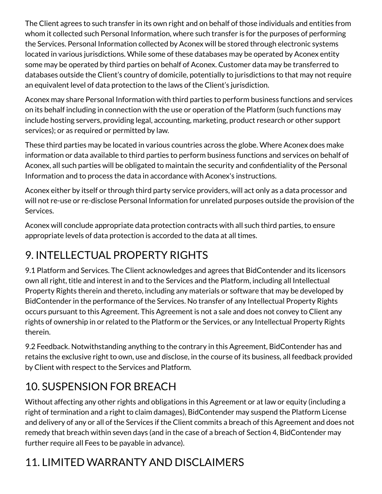The Client agrees to such transfer in its own right and on behalf of those individuals and entities from whom it collected such Personal Information, where such transfer is for the purposes of performing the Services. Personal Information collected by Aconex will be stored through electronic systems located in various jurisdictions. While some of these databases may be operated by Aconex entity some may be operated by third parties on behalf of Aconex. Customer data may be transferred to databases outside the Client's country of domicile, potentially to jurisdictions to that may not require an equivalent level of data protection to the laws of the Client's jurisdiction.

Aconex may share Personal Information with third parties to perform business functions and services on its behalf including in connection with the use or operation of the Platform (such functions may include hosting servers, providing legal, accounting, marketing, product research or other support services); or as required or permitted by law.

 These third parties may be located in various countries across the globe. Where Aconex does make information or data available to third parties to perform business functions and services on behalf of Aconex, all such parties will be obligated to maintain the security and condentiality of the Personal Information and to process the data in accordance with Aconex's instructions.

Aconex either by itself or through third party service providers, will act only as a data processor and will not re-use or re-disclose Personal Information for unrelated purposes outside the provision of the Services.

Aconex will conclude appropriate data protection contracts with all such third parties, to ensure appropriate levels of data protection is accorded to the data at all times.

### 9. INTELLECTUAL PROPERTY RIGHTS

9.1 Platform and Services. The Client acknowledges and agrees that BidContender and its licensors own all right, title and interest in and to the Services and the Platform, including all Intellectual Property Rights therein and thereto, including any materials or software that may be developed by BidContender in the performance of the Services. No transfer of any Intellectual Property Rights occurs pursuant to this Agreement. This Agreement is not a sale and does not convey to Client any rights of ownership in or related to the Platform or the Services, or any Intellectual Property Rights therein.

 9.2 Feedback. Notwithstanding anything to the contrary in this Agreement, BidContender has and retains the exclusive right to own, use and disclose, in the course of its business, all feedback provided by Client with respect to the Services and Platform.

### 10. SUSPENSION FOR BREACH

Without affecting any other rights and obligations in this Agreement or at law or equity (including a right of termination and a right to claim damages), BidContender may suspend the Platform License and delivery of any or all of the Services if the Client commits a breach of this Agreement and does not remedy that breach within seven days (and in the case of a breach of Section 4, BidContender may further require all Fees to be payable in advance).

### 11. LIMITED WARRANTY AND DISCLAIMERS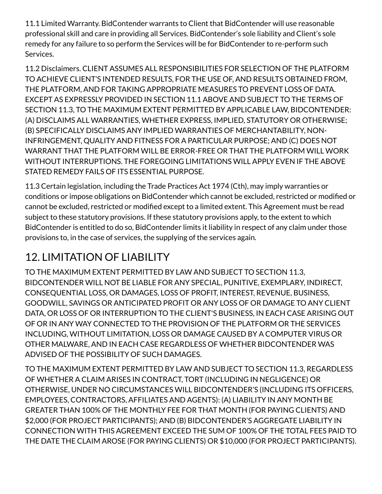11.1 Limited Warranty. BidContender warrants to Client that BidContender will use reasonable professional skill and care in providing all Services. BidContender's sole liability and Client's sole remedy for any failure to so perform the Services will be for BidContender to re-perform such Services.

Ì, l, 11.2 Disclaimers. CLIENT ASSUMES ALL RESPONSIBILITIES FOR SELECTION OF THE PLATFORM TO ACHIEVE CLIENT'S INTENDED RESULTS, FOR THE USE OF, AND RESULTS OBTAINED FROM, THE PLATFORM, AND FOR TAKING APPROPRIATE MEASURES TO PREVENT LOSS OF DATA. EXCEPT AS EXPRESSLY PROVIDED IN SECTION 11.1 ABOVE AND SUBJECT TO THE TERMS OF SECTION 11.3, TO THE MAXIMUM EXTENT PERMITTED BY APPLICABLE LAW, BIDCONTENDER: (A) DISCLAIMS ALL WARRANTIES, WHETHER EXPRESS, IMPLIED, STATUTORY OR OTHERWISE; (B) SPECIFICALLY DISCLAIMS ANY IMPLIED WARRANTIES OF MERCHANTABILITY, NON-INFRINGEMENT, QUALITY AND FITNESS FOR A PARTICULAR PURPOSE; AND (C) DOES NOT WARRANT THAT THE PLATFORM WILL BE ERROR-FREE OR THAT THE PLATFORM WILL WORK WITHOUT INTERRUPTIONS. THE FOREGOING LIMITATIONS WILL APPLY EVEN IF THE ABOVE STATED REMEDY FAILS OF ITS ESSENTIAL PURPOSE.

11.3 Certain legislation, including the Trade Practices Act 1974 (Cth), may imply warranties or conditions or impose obligations on BidContender which cannot be excluded, restricted or modified or cannot be excluded, restricted or modified except to a limited extent. This Agreement must be read subject to these statutory provisions. If these statutory provisions apply, to the extent to which BidContender is entitled to do so, BidContender limits it liability in respect of any claim under those provisions to, in the case of services, the supplying of the services again.

### 12. LIMITATION OF LIABILITY

TO THE MAXIMUM EXTENT PERMITTED BY LAW AND SUBJECT TO SECTION 11.3, BIDCONTENDER WILL NOT BE LIABLE FOR ANY SPECIAL, PUNITIVE, EXEMPLARY, INDIRECT, CONSEQUENTIAL LOSS, OR DAMAGES, LOSS OF PROFIT, INTEREST, REVENUE, BUSINESS, GOODWILL, SAVINGS OR ANTICIPATED PROFIT OR ANY LOSS OF OR DAMAGE TO ANY CLIENT DATA, OR LOSS OF OR INTERRUPTION TO THE CLIENT'S BUSINESS, IN EACH CASE ARISING OUT OF OR IN ANY WAY CONNECTED TO THE PROVISION OF THE PLATFORM OR THE SERVICES INCLUDING, WITHOUT LIMITATION, LOSS OR DAMAGE CAUSED BY A COMPUTER VIRUS OR OTHER MALWARE, AND IN EACH CASE REGARDLESS OF WHETHER BIDCONTENDER WAS ADVISED OF THE POSSIBILITY OF SUCH DAMAGES.

I TO THE MAXIMUM EXTENT PERMITTED BY LAW AND SUBJECT TO SECTION 11.3, REGARDLESS OF WHETHER A CLAIM ARISES IN CONTRACT, TORT (INCLUDING IN NEGLIGENCE) OR OTHERWISE, UNDER NO CIRCUMSTANCES WILL BIDCONTENDER'S (INCLUDING ITS OFFICERS, EMPLOYEES, CONTRACTORS, AFFILIATES AND AGENTS): (A) LIABILITY IN ANY MONTH BE GREATER THAN 100% OF THE MONTHLY FEE FOR THAT MONTH (FOR PAYING CLIENTS) AND \$2,000 (FOR PROJECT PARTICIPANTS); AND (B) BIDCONTENDER'S AGGREGATE LIABILITY IN CONNECTION WITH THIS AGREEMENT EXCEED THE SUM OF 100% OF THE TOTAL FEES PAID TO THE DATE THE CLAIM AROSE (FOR PAYING CLIENTS) OR \$10,000 (FOR PROJECT PARTICIPANTS).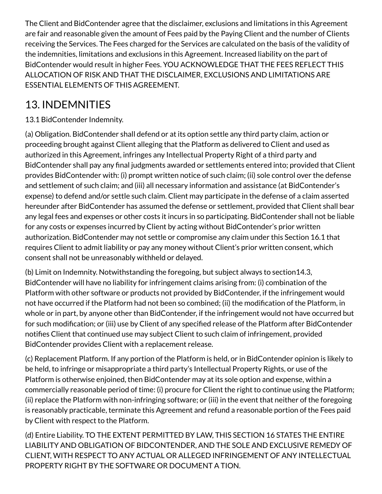The Client and BidContender agree that the disclaimer, exclusions and limitations in this Agreement are fair and reasonable given the amount of Fees paid by the Paying Client and the number of Clients receiving the Services. The Fees charged for the Services are calculated on the basis of the validity of the indemnities, limitations and exclusions in this Agreement. Increased liability on the part of BidContender would result in higher Fees. YOU ACKNOWLEDGE THAT THE FEES REFLECT THIS ALLOCATION OF RISK AND THAT THE DISCLAIMER, EXCLUSIONS AND LIMITATIONS ARE ESSENTIAL ELEMENTS OF THIS AGREEMENT.

#### 13. INDEMNITIES

#### 13.1 BidContender Indemnity.

í (a) Obligation. BidContender shall defend or at its option settle any third party claim, action or proceeding brought against Client alleging that the Platform as delivered to Client and used as authorized in this Agreement, infringes any Intellectual Property Right of a third party and BidContender shall pay any final judgments awarded or settlements entered into; provided that Client provides BidContender with: (i) prompt written notice of such claim; (ii) sole control over the defense and settlement of such claim; and (iii) all necessary information and assistance (at BidContender's expense) to defend and/or settle such claim. Client may participate in the defense of a claim asserted hereunder after BidContender has assumed the defense or settlement, provided that Client shall bear any legal fees and expenses or other costs it incurs in so participating. BidContender shall not be liable for any costs or expenses incurred by Client by acting without BidContender's prior written authorization. BidContender may not settle or compromise any claim under this Section 16.1 that requires Client to admit liability or pay any money without Client's prior written consent, which consent shall not be unreasonably withheld or delayed.

i, (b) Limit on Indemnity. Notwithstanding the foregoing, but subject always to section14.3, BidContender will have no liability for infringement claims arising from: (i) combination of the Platform with other software or products not provided by BidContender, if the infringement would not have occurred if the Platform had not been so combined; (ii) the modification of the Platform, in whole or in part, by anyone other than BidContender, if the infringement would not have occurred but for such modification; or (iii) use by Client of any specified release of the Platform after BidContender notifies Client that continued use may subject Client to such claim of infringement, provided BidContender provides Client with a replacement release.

(c) Replacement Platform. If any portion of the Platform is held, or in BidContender opinion is likely to be held, to infringe or misappropriate a third party's Intellectual Property Rights, or use of the Platform is otherwise enjoined, then BidContender may at its sole option and expense, within a commercially reasonable period of time: (i) procure for Client the right to continue using the Platform; (ii) replace the Platform with non-infringing software; or (iii) in the event that neither of the foregoing is reasonably practicable, terminate this Agreement and refund a reasonable portion of the Fees paid by Client with respect to the Platform.

I (d) Entire Liability. TO THE EXTENT PERMITTED BY LAW, THIS SECTION 16 STATES THE ENTIRE LIABILITY AND OBLIGATION OF BIDCONTENDER, AND THE SOLE AND EXCLUSIVE REMEDY OF CLIENT, WITH RESPECT TO ANY ACTUAL OR ALLEGED INFRINGEMENT OF ANY INTELLECTUAL PROPERTY RIGHT BY THE SOFTWARE OR DOCUMENT A TION.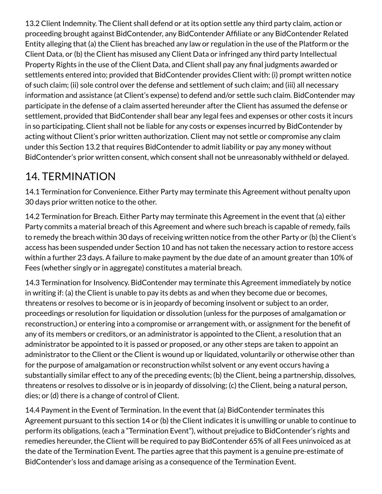13.2 Client Indemnity. The Client shall defend or at its option settle any third party claim, action or proceeding brought against BidContender, any BidContender Afliate or any BidContender Related Entity alleging that (a) the Client has breached any law or regulation in the use of the Platform or the Client Data, or (b) the Client has misused any Client Data or infringed any third party Intellectual Property Rights in the use of the Client Data, and Client shall pay any final judgments awarded or settlements entered into; provided that BidContender provides Client with: (i) prompt written notice of such claim; (ii) sole control over the defense and settlement of such claim; and (iii) all necessary information and assistance (at Client's expense) to defend and/or settle such claim. BidContender may participate in the defense of a claim asserted hereunder after the Client has assumed the defense or settlement, provided that BidContender shall bear any legal fees and expenses or other costs it incurs in so participating. Client shall not be liable for any costs or expenses incurred by BidContender by acting without Client's prior written authorization. Client may not settle or compromise any claim under this Section 13.2 that requires BidContender to admit liability or pay any money without BidContender's prior written consent, which consent shall not be unreasonably withheld or delayed.

#### 14. TERMINATION

14.1 Termination for Convenience. Either Party may terminate this Agreement without penalty upon 30 days prior written notice to the other.

14.2 Termination for Breach. Either Party may terminate this Agreement in the event that (a) either Party commits a material breach of this Agreement and where such breach is capable of remedy, fails to remedy the breach within 30 days of receiving written notice from the other Party or (b) the Client's access has been suspended under Section 10 and has not taken the necessary action to restore access within a further 23 days. A failure to make payment by the due date of an amount greater than 10% of Fees (whether singly or in aggregate) constitutes a material breach.

 14.3 Termination for Insolvency. BidContender may terminate this Agreement immediately by notice in writing if: (a) the Client is unable to pay its debts as and when they become due or becomes, threatens or resolves to become or is in jeopardy of becoming insolvent or subject to an order, proceedings or resolution for liquidation or dissolution (unless for the purposes of amalgamation or reconstruction,) or entering into a compromise or arrangement with, or assignment for the benefit of any of its members or creditors, or an administrator is appointed to the Client, a resolution that an administrator be appointed to it is passed or proposed, or any other steps are taken to appoint an administrator to the Client or the Client is wound up or liquidated, voluntarily or otherwise other than for the purpose of amalgamation or reconstruction whilst solvent or any event occurs having a substantially similar effect to any of the preceding events; (b) the Client, being a partnership, dissolves, threatens or resolves to dissolve or is in jeopardy of dissolving; (c) the Client, being a natural person, dies; or (d) there is a change of control of Client.

14.4 Payment in the Event of Termination. In the event that (a) BidContender terminates this Agreement pursuant to this section 14 or (b) the Client indicates it is unwilling or unable to continue to perform its obligations, (each a "Termination Event"), without prejudice to BidContender's rights and remedies hereunder, the Client will be required to pay BidContender 65% of all Fees uninvoiced as at the date of the Termination Event. The parties agree that this payment is a genuine pre-estimate of BidContender's loss and damage arising as a consequence of the Termination Event.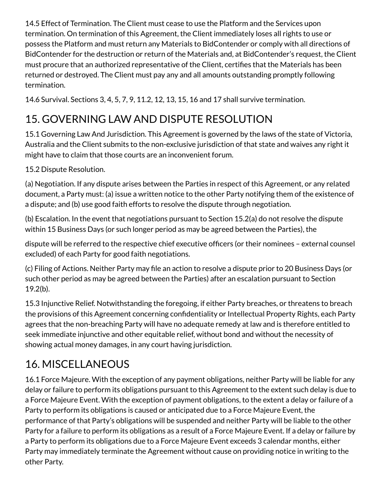Í 14.5 Effect of Termination. The Client must cease to use the Platform and the Services upon termination. On termination of this Agreement, the Client immediately loses all rights to use or possess the Platform and must return any Materials to BidContender or comply with all directions of BidContender for the destruction or return of the Materials and, at BidContender's request, the Client must procure that an authorized representative of the Client, certifies that the Materials has been returned or destroyed. The Client must pay any and all amounts outstanding promptly following termination.

14.6 Survival. Sections 3, 4, 5, 7, 9, 11.2, 12, 13, 15, 16 and 17 shall survive termination.

#### 15. GOVERNING LAW AND DISPUTE RESOLUTION

15.1 Governing Law And Jurisdiction. This Agreement is governed by the laws of the state of Victoria, Australia and the Client submits to the non-exclusive jurisdiction of that state and waives any right it might have to claim that those courts are an inconvenient forum.

15.2 Dispute Resolution.

(a) Negotiation. If any dispute arises between the Parties in respect of this Agreement, or any related document, a Party must: (a) issue a written notice to the other Party notifying them of the existence of a dispute; and (b) use good faith efforts to resolve the dispute through negotiation.

(b) Escalation. In the event that negotiations pursuant to Section 15.2(a) do not resolve the dispute within 15 Business Days (or such longer period as may be agreed between the Parties), the

dispute will be referred to the respective chief executive officers (or their nominees - external counsel excluded) of each Party for good faith negotiations.

(c) Filing of Actions. Neither Party may file an action to resolve a dispute prior to 20 Business Days (or such other period as may be agreed between the Parties) after an escalation pursuant to Section 19.2(b).

15.3 Injunctive Relief. Notwithstanding the foregoing, if either Party breaches, or threatens to breach the provisions of this Agreement concerning confidentiality or Intellectual Property Rights, each Party agrees that the non-breaching Party will have no adequate remedy at law and is therefore entitled to seek immediate injunctive and other equitable relief, without bond and without the necessity of showing actual money damages, in any court having jurisdiction.

### 16. MISCELLANEOUS

16.1 Force Majeure. With the exception of any payment obligations, neither Party will be liable for any delay or failure to perform its obligations pursuant to this Agreement to the extent such delay is due to a Force Majeure Event. With the exception of payment obligations, to the extent a delay or failure of a Party to perform its obligations is caused or anticipated due to a Force Majeure Event, the performance of that Party's obligations will be suspended and neither Party will be liable to the other Party for a failure to perform its obligations as a result of a Force Majeure Event. If a delay or failure by a Party to perform its obligations due to a Force Majeure Event exceeds 3 calendar months, either Party may immediately terminate the Agreement without cause on providing notice in writing to the other Party.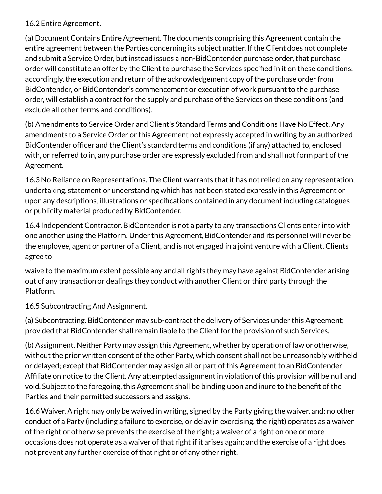#### 16.2 Entire Agreement.

(a) Document Contains Entire Agreement. The documents comprising this Agreement contain the entire agreement between the Parties concerning its subject matter. If the Client does not complete and submit a Service Order, but instead issues a non-BidContender purchase order, that purchase order will constitute an offer by the Client to purchase the Services specified in it on these conditions; accordingly, the execution and return of the acknowledgement copy of the purchase order from BidContender, or BidContender's commencement or execution of work pursuant to the purchase order, will establish a contract for the supply and purchase of the Services on these conditions (and exclude all other terms and conditions).

 (b) Amendments to Service Order and Client's Standard Terms and Conditions Have No Effect. Any amendments to a Service Order or this Agreement not expressly accepted in writing by an authorized BidContender officer and the Client's standard terms and conditions (if any) attached to, enclosed with, or referred to in, any purchase order are expressly excluded from and shall not form part of the Agreement.

16.3 No Reliance on Representations. The Client warrants that it has not relied on any representation, undertaking, statement or understanding which has not been stated expressly in this Agreement or upon any descriptions, illustrations or specifications contained in any document including catalogues or publicity material produced by BidContender.

16.4 Independent Contractor. BidContender is not a party to any transactions Clients enter into with one another using the Platform. Under this Agreement, BidContender and its personnel will never be the employee, agent or partner of a Client, and is not engaged in a joint venture with a Client. Clients agree to

 waive to the maximum extent possible any and all rights they may have against BidContender arising out of any transaction or dealings they conduct with another Client or third party through the Platform.

16.5 Subcontracting And Assignment.

(a) Subcontracting. BidContender may sub-contract the delivery of Services under this Agreement; provided that BidContender shall remain liable to the Client for the provision of such Services.

(b) Assignment. Neither Party may assign this Agreement, whether by operation of law or otherwise, without the prior written consent of the other Party, which consent shall not be unreasonably withheld or delayed; except that BidContender may assign all or part of this Agreement to an BidContender Afliate on notice to the Client. Any attempted assignment in violation of this provision will be null and void. Subject to the foregoing, this Agreement shall be binding upon and inure to the benefit of the Parties and their permitted successors and assigns.

16.6 Waiver. A right may only be waived in writing, signed by the Party giving the waiver, and: no other conduct of a Party (including a failure to exercise, or delay in exercising, the right) operates as a waiver of the right or otherwise prevents the exercise of the right; a waiver of a right on one or more occasions does not operate as a waiver of that right if it arises again; and the exercise of a right does not prevent any further exercise of that right or of any other right.